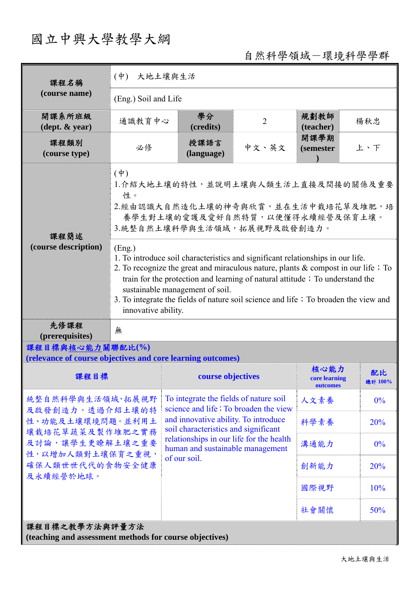# 國立中興大學教學大綱

自然科學領域-環境科學學群

| 課程名稱                                                                                                                                              | $(\phi)$<br>大地土壤與生活                                                                                                                                                                                                                                                                                                                                                                                      |                                                                                                                                                                                                                                                                 |                |                                   |               |  |
|---------------------------------------------------------------------------------------------------------------------------------------------------|----------------------------------------------------------------------------------------------------------------------------------------------------------------------------------------------------------------------------------------------------------------------------------------------------------------------------------------------------------------------------------------------------------|-----------------------------------------------------------------------------------------------------------------------------------------------------------------------------------------------------------------------------------------------------------------|----------------|-----------------------------------|---------------|--|
| (course name)                                                                                                                                     | (Eng.) Soil and Life                                                                                                                                                                                                                                                                                                                                                                                     |                                                                                                                                                                                                                                                                 |                |                                   |               |  |
| 開課系所班級<br>$(\text{dept.} \& \text{ year})$                                                                                                        | 通識教育中心                                                                                                                                                                                                                                                                                                                                                                                                   | 學分<br>(credits)                                                                                                                                                                                                                                                 | $\overline{2}$ | 規劃教師<br>(teacher)                 | 楊秋忠           |  |
| 課程類別<br>(course type)                                                                                                                             | 必修                                                                                                                                                                                                                                                                                                                                                                                                       | 授課語言<br>(language)                                                                                                                                                                                                                                              | 中文、英文          | 開課學期<br><i>(semester)</i>         | 上、下           |  |
| 課程簡述<br>(course description)                                                                                                                      | $(\dot{\Psi})$<br>1. 介紹大地土壤的特性,並說明土壤與人類生活上直接及間接的關係及重要<br>性。<br>2.經由認識大自然造化土壤的神奇與欣賞,並在生活中栽培花草及堆肥,培<br>養學生對土壤的愛護及愛好自然特質,以便懂得永續經營及保育土壤。<br>3. 統整自然土壤科學與生活領域,拓展視野及啟發創造力。<br>(Eng.)                                                                                                                                                                                                                           |                                                                                                                                                                                                                                                                 |                |                                   |               |  |
|                                                                                                                                                   | 1. To introduce soil characteristics and significant relationships in our life.<br>2. To recognize the great and miraculous nature, plants $\&$ compost in our life; To<br>train for the protection and learning of natural attitude; To understand the<br>sustainable management of soil.<br>3. To integrate the fields of nature soil science and life; To broaden the view and<br>innovative ability. |                                                                                                                                                                                                                                                                 |                |                                   |               |  |
| 先修課程<br>(prerequisites)                                                                                                                           | 無                                                                                                                                                                                                                                                                                                                                                                                                        |                                                                                                                                                                                                                                                                 |                |                                   |               |  |
| 課程目標與核心能力關聯配比(%)<br>(relevance of course objectives and core learning outcomes)                                                                   |                                                                                                                                                                                                                                                                                                                                                                                                          |                                                                                                                                                                                                                                                                 |                |                                   |               |  |
| 課程目標                                                                                                                                              |                                                                                                                                                                                                                                                                                                                                                                                                          | course objectives                                                                                                                                                                                                                                               |                | 核心能力<br>core learning<br>outcomes | 配比<br>總計 100% |  |
| 統整自然科學與生活領域,拓展視野<br>及啟發創造力。透過介紹土壤的特<br>性、功能及土壤環境問題。並利用土<br>壤栽培花草蔬菜及製作堆肥之實務<br>及討論,讓學生更瞭解土壤之重要<br>性,以增加人類對土壤保育之重視,<br>確保人類世世代代的食物安全健康<br>及永續經營於地球。 |                                                                                                                                                                                                                                                                                                                                                                                                          | To integrate the fields of nature soil<br>science and life; To broaden the view<br>and innovative ability. To introduce<br>soil characteristics and significant<br>relationships in our life for the health<br>human and sustainable management<br>of our soil. |                | 人文素養                              | $0\%$         |  |
|                                                                                                                                                   |                                                                                                                                                                                                                                                                                                                                                                                                          |                                                                                                                                                                                                                                                                 |                | 科學素養                              | 20%           |  |
|                                                                                                                                                   |                                                                                                                                                                                                                                                                                                                                                                                                          |                                                                                                                                                                                                                                                                 |                | 溝通能力                              | $0\%$         |  |
|                                                                                                                                                   |                                                                                                                                                                                                                                                                                                                                                                                                          |                                                                                                                                                                                                                                                                 |                | 創新能力                              | 20%           |  |
|                                                                                                                                                   |                                                                                                                                                                                                                                                                                                                                                                                                          |                                                                                                                                                                                                                                                                 |                | 國際視野                              | 10%           |  |
|                                                                                                                                                   |                                                                                                                                                                                                                                                                                                                                                                                                          |                                                                                                                                                                                                                                                                 |                | 社會關懷                              | 50%           |  |
| 課程目標之教學方法與評量方法<br>(teaching and assessment methods for course objectives)                                                                         |                                                                                                                                                                                                                                                                                                                                                                                                          |                                                                                                                                                                                                                                                                 |                |                                   |               |  |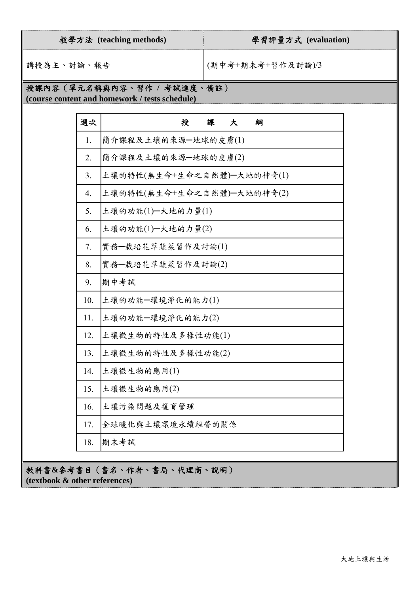## 教學方法 **(teaching methods)** 學習評量方式 **(evaluation)**

講授為主、討論、報告 (期末考+期未考+習作及討論)/3

## 授課內容(單元名稱與內容、習作 **/** 考試進度、備註)

**(course content and homework / tests schedule)** 

| 週次  | 授<br>課<br>大<br>綱           |
|-----|----------------------------|
| 1.  | 簡介課程及土壤的來源一地球的皮膚(1)        |
| 2.  | 簡介課程及土壤的來源一地球的皮膚(2)        |
| 3.  | 土壤的特性(無生命+生命之自然體)-大地的神奇(1) |
| 4.  | 土壤的特性(無生命+生命之自然體)-大地的神奇(2) |
| 5.  | 土壤的功能(1)-大地的力量(1)          |
| 6.  | 土壤的功能(1)-大地的力量(2)          |
| 7.  | 實務一栽培花草蔬菜習作及討論(1)          |
| 8.  | 實務-栽培花草蔬菜習作及討論(2)          |
| 9.  | 期中考試                       |
| 10. | 土壤的功能一環境淨化的能力(1)           |
| 11. | 土壤的功能一環境淨化的能力(2)           |
| 12. | 土壤微生物的特性及多樣性功能(1)          |
| 13. | 土壤微生物的特性及多樣性功能(2)          |
| 14. | 土壤微生物的應用(1)                |
| 15. | 土壤微生物的應用(2)                |
| 16. | 土壤污染問題及復育管理                |
| 17. | 全球暖化與土壤環境永續經營的關係           |
| 18. | 期末考試                       |

教科書**&**參考書目(書名、作者、書局、代理商、說明) **(textbook & other references)**